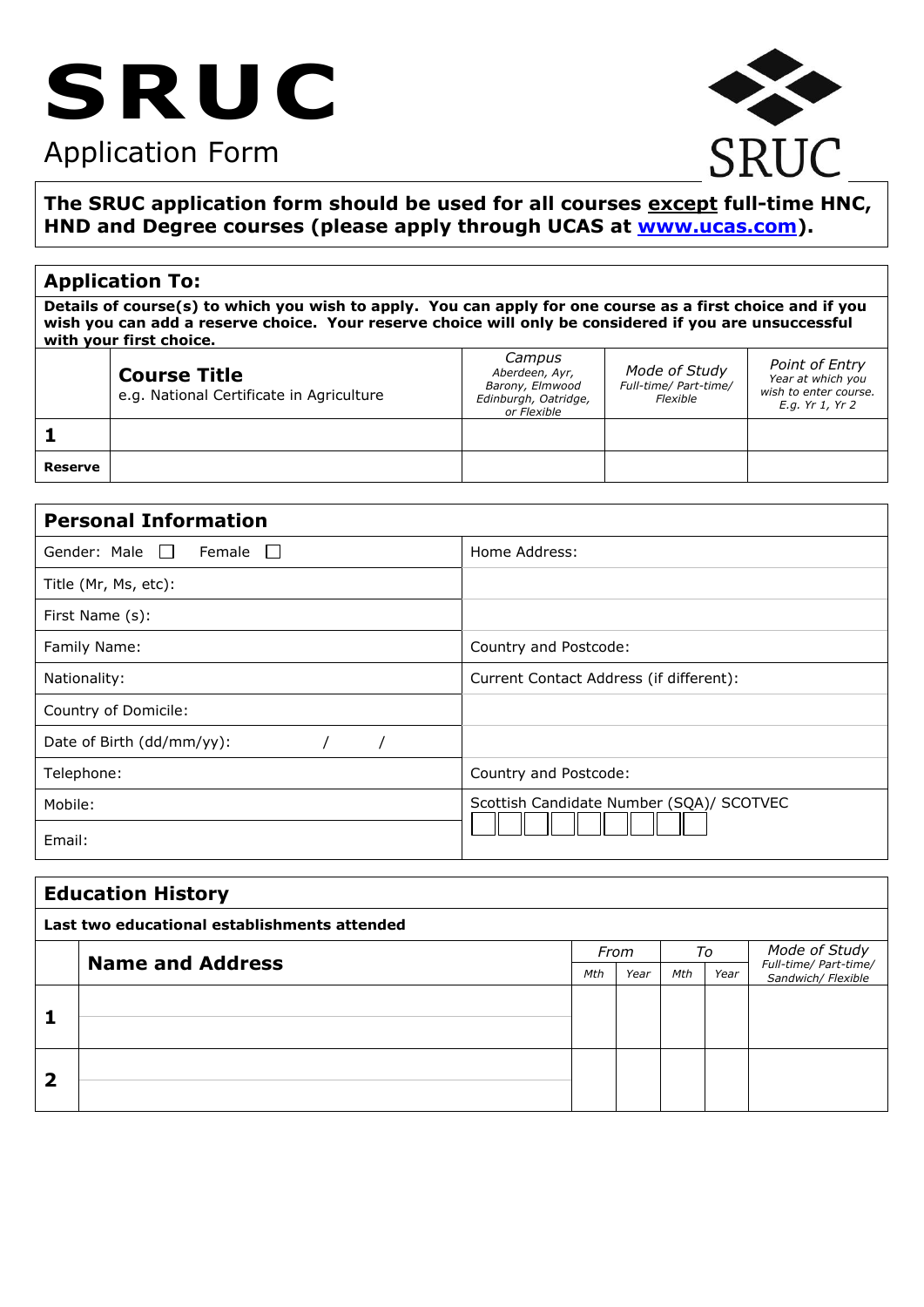# **SRUC**

# Application Form



# **The SRUC application form should be used for all courses except full-time HNC, HND and Degree courses (please apply through UCAS at [www.ucas.com\)](http://www.ucas.com/).**

# **Application To:**

**Details of course(s) to which you wish to apply. You can apply for one course as a first choice and if you wish you can add a reserve choice. Your reserve choice will only be considered if you are unsuccessful with your first choice.** 

|         | <b>Course Title</b><br>e.g. National Certificate in Agriculture | Campus<br>Aberdeen, Ayr,<br>Barony, Elmwood<br>Edinburgh, Oatridge,<br>or Flexible | Mode of Study<br>Full-time/ Part-time/<br>Flexible | Point of Entry<br>Year at which you<br>wish to enter course.<br>E.g. Yr 1, Yr 2 |
|---------|-----------------------------------------------------------------|------------------------------------------------------------------------------------|----------------------------------------------------|---------------------------------------------------------------------------------|
|         |                                                                 |                                                                                    |                                                    |                                                                                 |
| Reserve |                                                                 |                                                                                    |                                                    |                                                                                 |

| <b>Personal Information</b>          |                                          |  |  |  |  |  |  |
|--------------------------------------|------------------------------------------|--|--|--|--|--|--|
| Gender: Male    <br>Female<br>$\Box$ | Home Address:                            |  |  |  |  |  |  |
| Title (Mr, Ms, etc):                 |                                          |  |  |  |  |  |  |
| First Name (s):                      |                                          |  |  |  |  |  |  |
| Family Name:                         | Country and Postcode:                    |  |  |  |  |  |  |
| Nationality:                         | Current Contact Address (if different):  |  |  |  |  |  |  |
| Country of Domicile:                 |                                          |  |  |  |  |  |  |
| Date of Birth (dd/mm/yy):            |                                          |  |  |  |  |  |  |
| Telephone:                           | Country and Postcode:                    |  |  |  |  |  |  |
| Mobile:                              | Scottish Candidate Number (SQA)/ SCOTVEC |  |  |  |  |  |  |
| Email:                               |                                          |  |  |  |  |  |  |

| <b>Education History</b>                     |                         |  |      |     |      |                                             |  |  |
|----------------------------------------------|-------------------------|--|------|-----|------|---------------------------------------------|--|--|
| Last two educational establishments attended |                         |  |      |     |      |                                             |  |  |
|                                              |                         |  | From |     | To   | Mode of Study                               |  |  |
|                                              | <b>Name and Address</b> |  | Year | Mth | Year | Full-time/ Part-time/<br>Sandwich/ Flexible |  |  |
|                                              |                         |  |      |     |      |                                             |  |  |
|                                              |                         |  |      |     |      |                                             |  |  |
|                                              |                         |  |      |     |      |                                             |  |  |
|                                              |                         |  |      |     |      |                                             |  |  |
| 2                                            |                         |  |      |     |      |                                             |  |  |
|                                              |                         |  |      |     |      |                                             |  |  |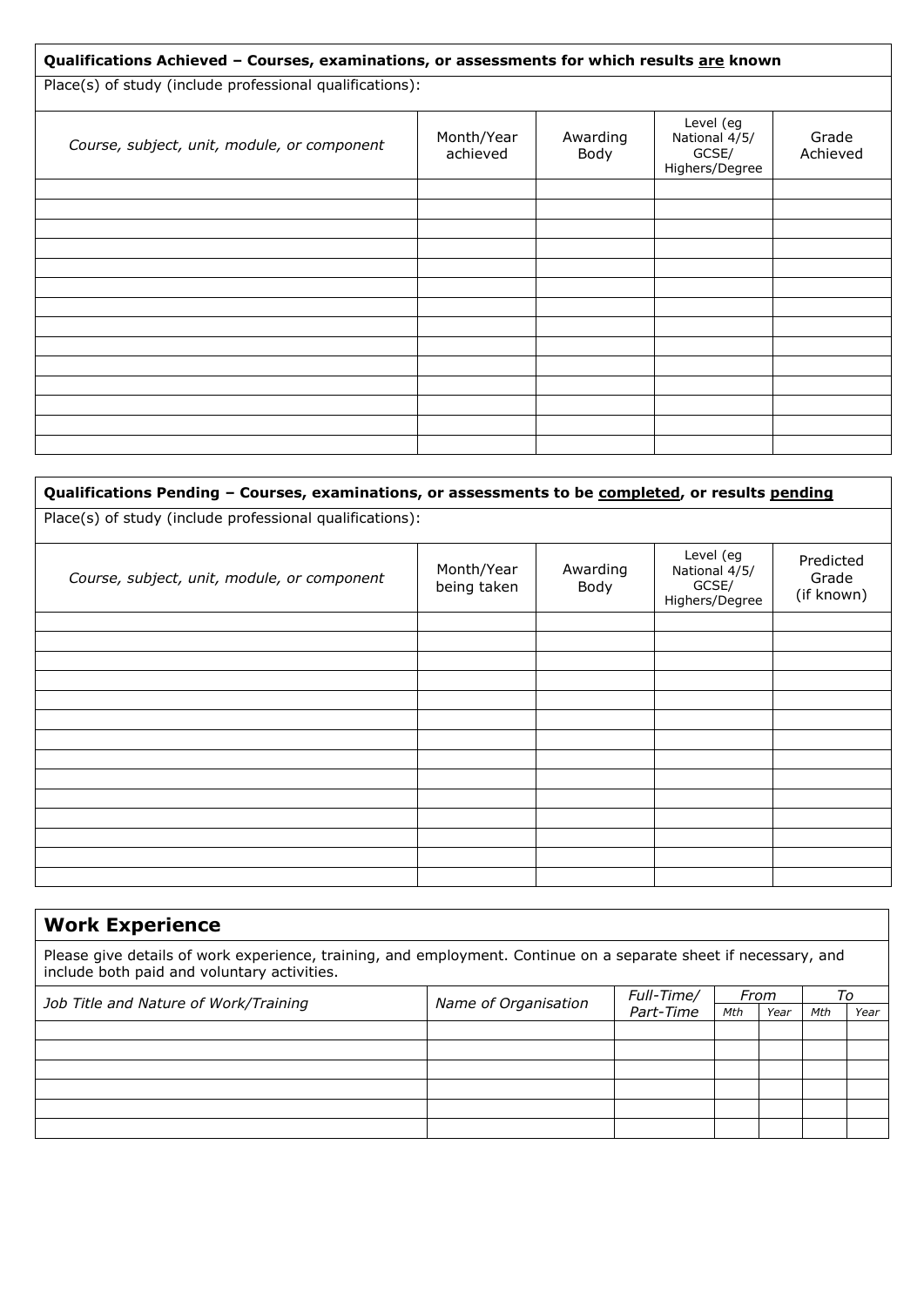| Qualifications Achieved - Courses, examinations, or assessments for which results are known |                        |                  |                                                       |                   |  |  |  |  |  |
|---------------------------------------------------------------------------------------------|------------------------|------------------|-------------------------------------------------------|-------------------|--|--|--|--|--|
| Place(s) of study (include professional qualifications):                                    |                        |                  |                                                       |                   |  |  |  |  |  |
| Course, subject, unit, module, or component                                                 | Month/Year<br>achieved | Awarding<br>Body | Level (eg<br>National 4/5/<br>GCSE/<br>Highers/Degree | Grade<br>Achieved |  |  |  |  |  |
|                                                                                             |                        |                  |                                                       |                   |  |  |  |  |  |
|                                                                                             |                        |                  |                                                       |                   |  |  |  |  |  |
|                                                                                             |                        |                  |                                                       |                   |  |  |  |  |  |
|                                                                                             |                        |                  |                                                       |                   |  |  |  |  |  |
|                                                                                             |                        |                  |                                                       |                   |  |  |  |  |  |
|                                                                                             |                        |                  |                                                       |                   |  |  |  |  |  |
|                                                                                             |                        |                  |                                                       |                   |  |  |  |  |  |
|                                                                                             |                        |                  |                                                       |                   |  |  |  |  |  |
|                                                                                             |                        |                  |                                                       |                   |  |  |  |  |  |
|                                                                                             |                        |                  |                                                       |                   |  |  |  |  |  |
|                                                                                             |                        |                  |                                                       |                   |  |  |  |  |  |
|                                                                                             |                        |                  |                                                       |                   |  |  |  |  |  |

# **Qualifications Pending – Courses, examinations, or assessments to be completed, or results pending**

Place(s) of study (include professional qualifications):

| Course, subject, unit, module, or component | Month/Year<br>being taken | Awarding<br>Body | Level (eg<br>National 4/5/<br>GCSE/<br>Highers/Degree | Predicted<br>Grade<br>(if known) |
|---------------------------------------------|---------------------------|------------------|-------------------------------------------------------|----------------------------------|
|                                             |                           |                  |                                                       |                                  |
|                                             |                           |                  |                                                       |                                  |
|                                             |                           |                  |                                                       |                                  |
|                                             |                           |                  |                                                       |                                  |
|                                             |                           |                  |                                                       |                                  |
|                                             |                           |                  |                                                       |                                  |
|                                             |                           |                  |                                                       |                                  |
|                                             |                           |                  |                                                       |                                  |
|                                             |                           |                  |                                                       |                                  |
|                                             |                           |                  |                                                       |                                  |
|                                             |                           |                  |                                                       |                                  |
|                                             |                           |                  |                                                       |                                  |
|                                             |                           |                  |                                                       |                                  |
|                                             |                           |                  |                                                       |                                  |

# **Work Experience**

Please give details of work experience, training, and employment. Continue on a separate sheet if necessary, and include both paid and voluntary activities.

| Job Title and Nature of Work/Training | Name of Organisation | Full-Time/ |     | From<br>Year |     | I O  |
|---------------------------------------|----------------------|------------|-----|--------------|-----|------|
|                                       |                      | Part-Time  | Mth |              | Mth | Year |
|                                       |                      |            |     |              |     |      |
|                                       |                      |            |     |              |     |      |
|                                       |                      |            |     |              |     |      |
|                                       |                      |            |     |              |     |      |
|                                       |                      |            |     |              |     |      |
|                                       |                      |            |     |              |     |      |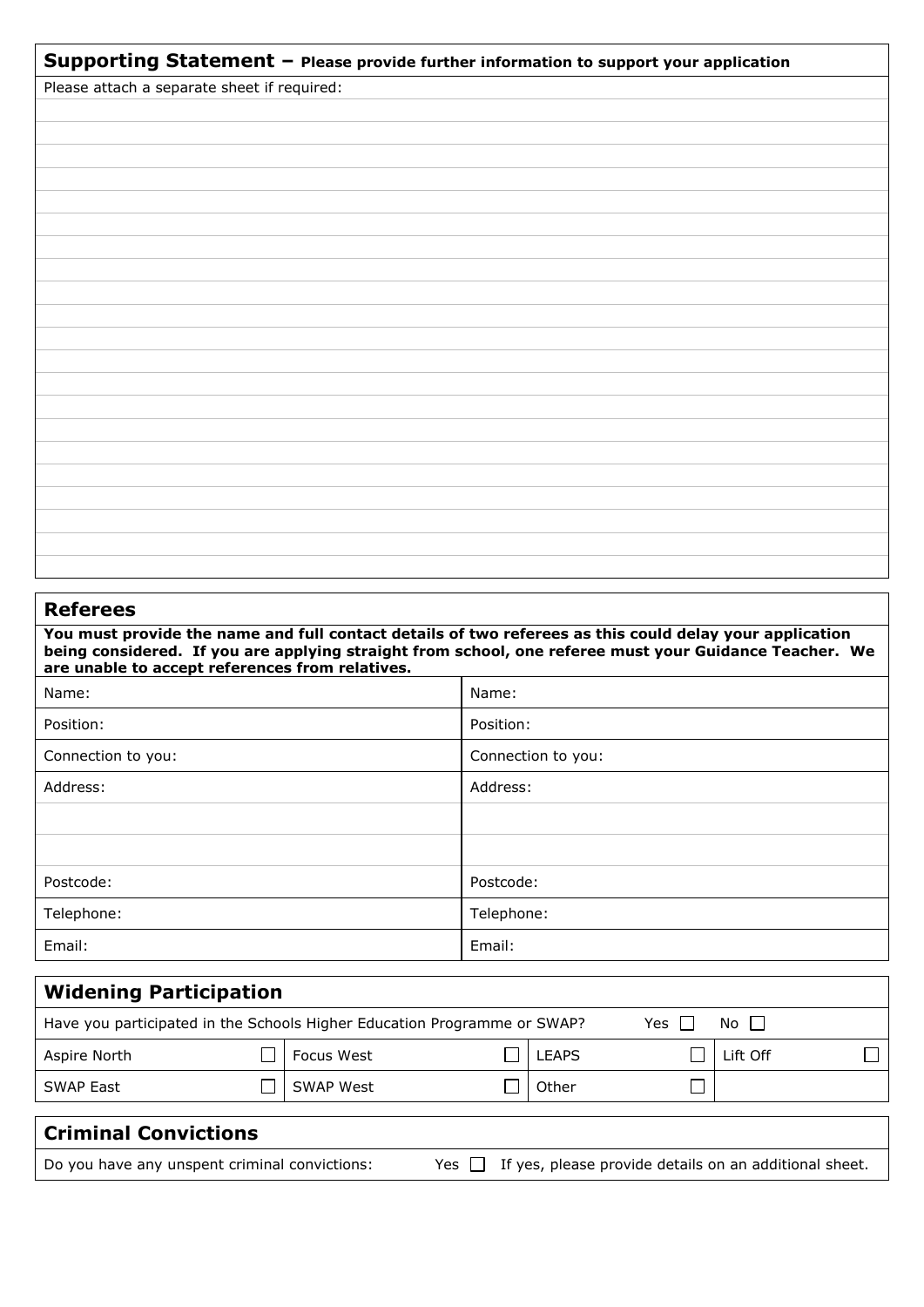| Supporting Statement - Please provide further information to support your application |  |  |  |  |  |  |
|---------------------------------------------------------------------------------------|--|--|--|--|--|--|
| Please attach a separate sheet if required:                                           |  |  |  |  |  |  |
|                                                                                       |  |  |  |  |  |  |
|                                                                                       |  |  |  |  |  |  |
|                                                                                       |  |  |  |  |  |  |
|                                                                                       |  |  |  |  |  |  |
|                                                                                       |  |  |  |  |  |  |
|                                                                                       |  |  |  |  |  |  |
|                                                                                       |  |  |  |  |  |  |
|                                                                                       |  |  |  |  |  |  |
|                                                                                       |  |  |  |  |  |  |
|                                                                                       |  |  |  |  |  |  |
|                                                                                       |  |  |  |  |  |  |
|                                                                                       |  |  |  |  |  |  |
|                                                                                       |  |  |  |  |  |  |
|                                                                                       |  |  |  |  |  |  |
|                                                                                       |  |  |  |  |  |  |
|                                                                                       |  |  |  |  |  |  |
|                                                                                       |  |  |  |  |  |  |
|                                                                                       |  |  |  |  |  |  |
|                                                                                       |  |  |  |  |  |  |
|                                                                                       |  |  |  |  |  |  |
|                                                                                       |  |  |  |  |  |  |

# **Referees**

**You must provide the name and full contact details of two referees as this could delay your application being considered. If you are applying straight from school, one referee must your Guidance Teacher. We are unable to accept references from relatives.** 

| Name:              | Name:              |
|--------------------|--------------------|
| Position:          | Position:          |
| Connection to you: | Connection to you: |
| Address:           | Address:           |
|                    |                    |
|                    |                    |
| Postcode:          | Postcode:          |
| Telephone:         | Telephone:         |
| Email:             | Email:             |

| <b>Widening Participation</b>                                                            |  |            |  |              |  |          |  |  |  |
|------------------------------------------------------------------------------------------|--|------------|--|--------------|--|----------|--|--|--|
| No II<br>Have you participated in the Schools Higher Education Programme or SWAP?<br>Yes |  |            |  |              |  |          |  |  |  |
| Aspire North                                                                             |  | Focus West |  | <b>LEAPS</b> |  | ∟ift Off |  |  |  |
| <b>SWAP East</b>                                                                         |  | SWAP West  |  | Other        |  |          |  |  |  |
| <b>Criminal Convictions</b>                                                              |  |            |  |              |  |          |  |  |  |

Do you have any unspent criminal convictions: Yes  $\Box$  If yes, please provide details on an additional sheet.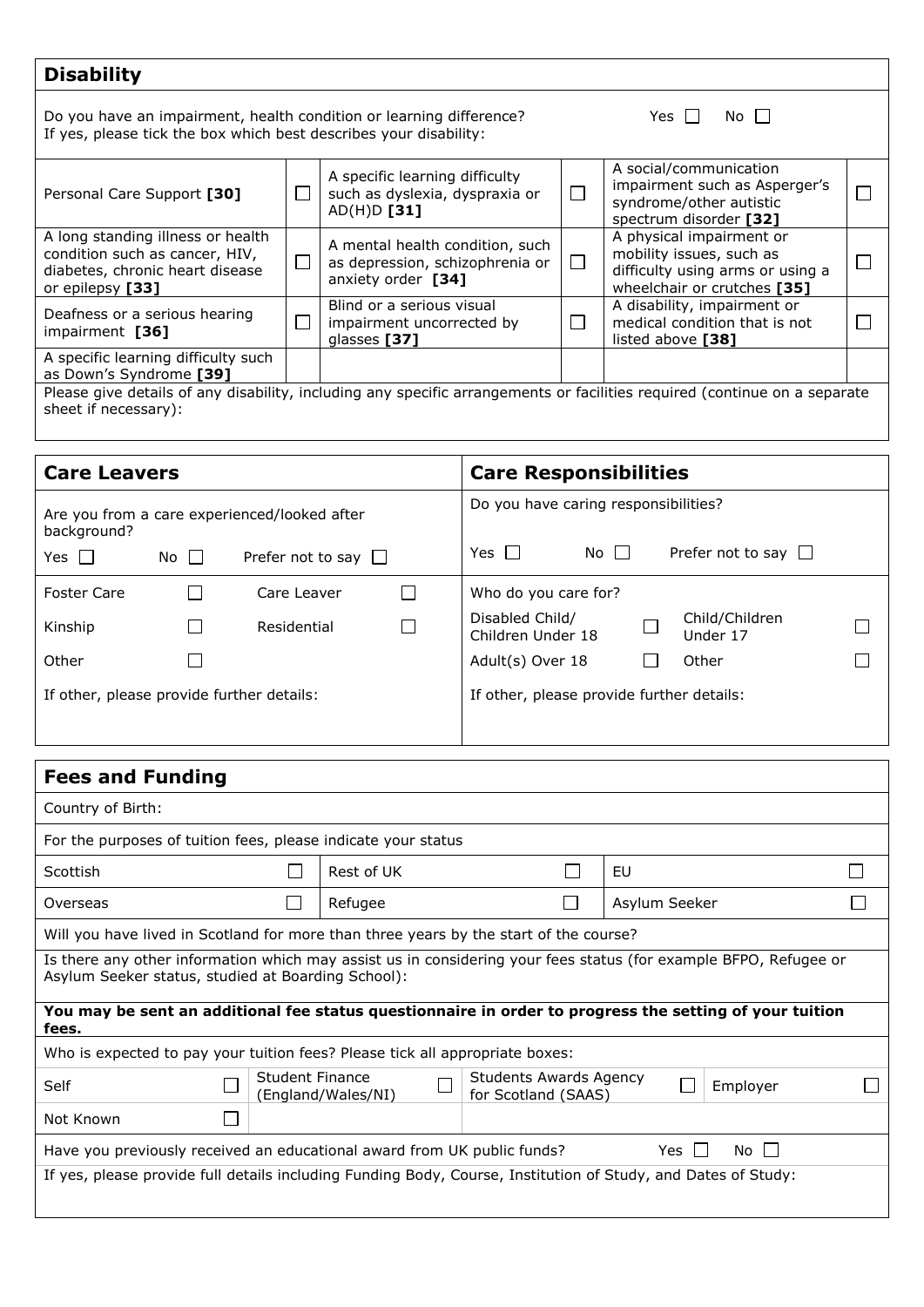# **Disability**

Do you have an impairment, health condition or learning difference?  $\Box$  Yes  $\Box$  No If yes, please tick the box which best describes your disability:

| Personal Care Support [30]                                                                                                                        |   | A specific learning difficulty<br>such as dyslexia, dyspraxia or<br>$AD(H)D$ [31]        |  | A social/communication<br>impairment such as Asperger's<br>syndrome/other autistic<br>spectrum disorder [32]            |  |  |  |  |
|---------------------------------------------------------------------------------------------------------------------------------------------------|---|------------------------------------------------------------------------------------------|--|-------------------------------------------------------------------------------------------------------------------------|--|--|--|--|
| A long standing illness or health<br>condition such as cancer, HIV,<br>diabetes, chronic heart disease<br>or epilepsy [33]                        | Г | A mental health condition, such<br>as depression, schizophrenia or<br>anxiety order [34] |  | A physical impairment or<br>mobility issues, such as<br>difficulty using arms or using a<br>wheelchair or crutches [35] |  |  |  |  |
| Deafness or a serious hearing<br>impairment [36]                                                                                                  |   | Blind or a serious visual<br>impairment uncorrected by<br>glasses [37]                   |  | A disability, impairment or<br>medical condition that is not<br>listed above [38]                                       |  |  |  |  |
| A specific learning difficulty such<br>as Down's Syndrome [39]                                                                                    |   |                                                                                          |  |                                                                                                                         |  |  |  |  |
| Please give details of any disability, including any specific arrangements or facilities required (continue on a separate<br>sheet if necessary): |   |                                                                                          |  |                                                                                                                         |  |  |  |  |

| <b>Care Leavers</b>                       |        |                                              |                                           | <b>Care Responsibilities</b>                                       |  |  |  |  |  |  |
|-------------------------------------------|--------|----------------------------------------------|-------------------------------------------|--------------------------------------------------------------------|--|--|--|--|--|--|
| background?                               |        | Are you from a care experienced/looked after | Do you have caring responsibilities?      |                                                                    |  |  |  |  |  |  |
| Yes II                                    | No II  | Prefer not to say $\Box$                     |                                           | Yes II<br>Prefer not to say $\Box$<br>No II                        |  |  |  |  |  |  |
| <b>Foster Care</b>                        |        | Care Leaver                                  |                                           | Who do you care for?                                               |  |  |  |  |  |  |
| Kinship                                   | $\sim$ | Residential                                  |                                           | Disabled Child/<br>Child/Children<br>Children Under 18<br>Under 17 |  |  |  |  |  |  |
| Other                                     |        |                                              |                                           | Adult(s) Over 18<br>Other                                          |  |  |  |  |  |  |
| If other, please provide further details: |        |                                              | If other, please provide further details: |                                                                    |  |  |  |  |  |  |

| <b>Fees and Funding</b>                                                                                                                                                |                 |                    |  |                                                      |    |               |          |  |  |
|------------------------------------------------------------------------------------------------------------------------------------------------------------------------|-----------------|--------------------|--|------------------------------------------------------|----|---------------|----------|--|--|
| Country of Birth:                                                                                                                                                      |                 |                    |  |                                                      |    |               |          |  |  |
| For the purposes of tuition fees, please indicate your status                                                                                                          |                 |                    |  |                                                      |    |               |          |  |  |
| Scottish                                                                                                                                                               |                 | Rest of UK         |  |                                                      | EU |               |          |  |  |
| Overseas                                                                                                                                                               |                 | Refugee            |  |                                                      |    | Asylum Seeker |          |  |  |
| Will you have lived in Scotland for more than three years by the start of the course?                                                                                  |                 |                    |  |                                                      |    |               |          |  |  |
| Is there any other information which may assist us in considering your fees status (for example BFPO, Refugee or<br>Asylum Seeker status, studied at Boarding School): |                 |                    |  |                                                      |    |               |          |  |  |
| You may be sent an additional fee status questionnaire in order to progress the setting of your tuition<br>fees.                                                       |                 |                    |  |                                                      |    |               |          |  |  |
| Who is expected to pay your tuition fees? Please tick all appropriate boxes:                                                                                           |                 |                    |  |                                                      |    |               |          |  |  |
| Self                                                                                                                                                                   | Student Finance | (England/Wales/NI) |  | <b>Students Awards Agency</b><br>for Scotland (SAAS) |    |               | Employer |  |  |
| Not Known                                                                                                                                                              |                 |                    |  |                                                      |    |               |          |  |  |
| Yes $\Box$<br>Have you previously received an educational award from UK public funds?<br>No II                                                                         |                 |                    |  |                                                      |    |               |          |  |  |
| If yes, please provide full details including Funding Body, Course, Institution of Study, and Dates of Study:                                                          |                 |                    |  |                                                      |    |               |          |  |  |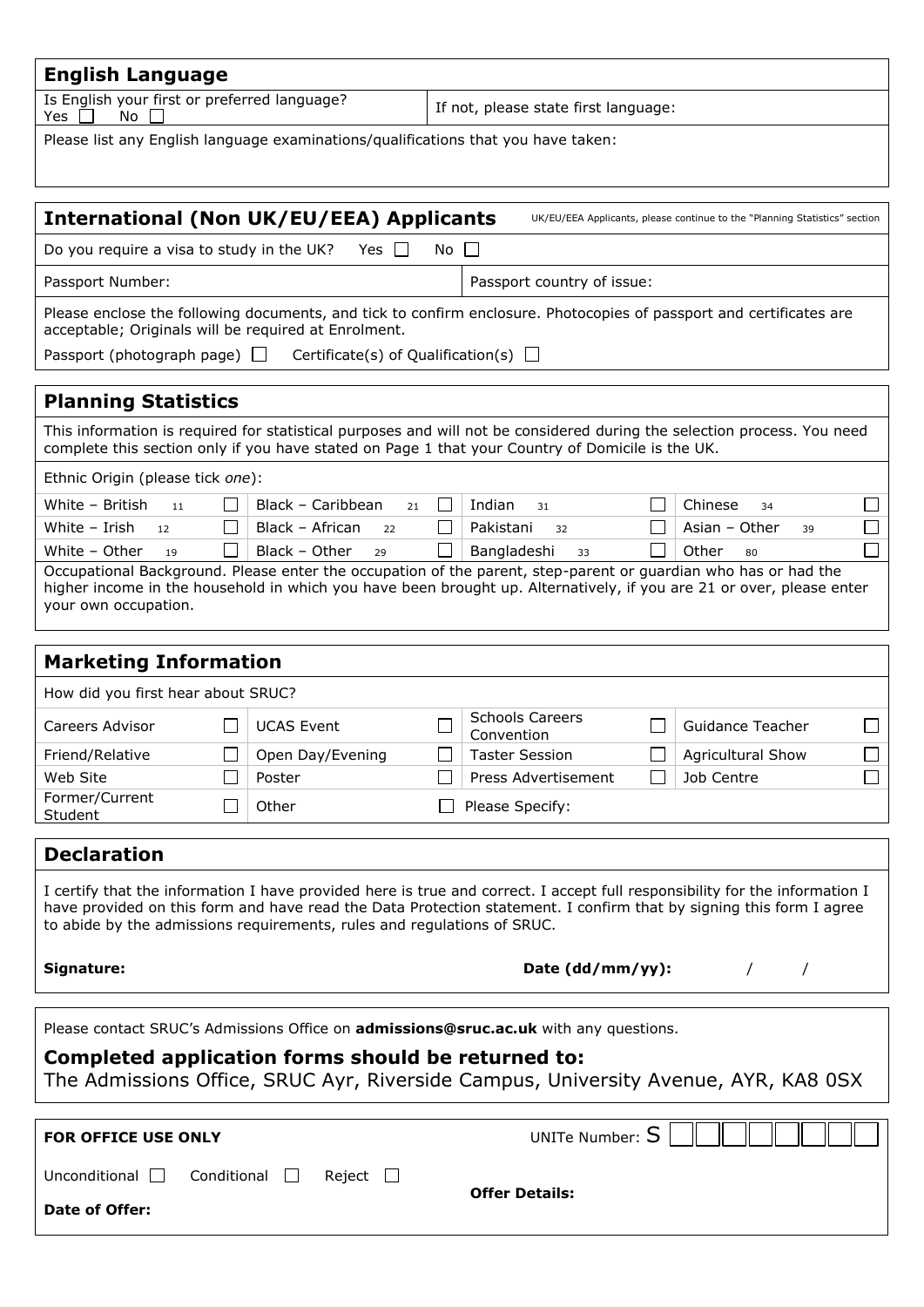| <b>English Language</b>                                                                                                                                                                                                                                                                                                       |                         |              |                                      |   |                          |  |  |  |
|-------------------------------------------------------------------------------------------------------------------------------------------------------------------------------------------------------------------------------------------------------------------------------------------------------------------------------|-------------------------|--------------|--------------------------------------|---|--------------------------|--|--|--|
| Is English your first or preferred language?<br>No<br>Yes                                                                                                                                                                                                                                                                     |                         |              | If not, please state first language: |   |                          |  |  |  |
| Please list any English language examinations/qualifications that you have taken:                                                                                                                                                                                                                                             |                         |              |                                      |   |                          |  |  |  |
|                                                                                                                                                                                                                                                                                                                               |                         |              |                                      |   |                          |  |  |  |
| <b>International (Non UK/EU/EEA) Applicants</b><br>UK/EU/EEA Applicants, please continue to the "Planning Statistics" section                                                                                                                                                                                                 |                         |              |                                      |   |                          |  |  |  |
| Do you require a visa to study in the UK?                                                                                                                                                                                                                                                                                     | Yes II                  | No.          |                                      |   |                          |  |  |  |
| Passport Number:                                                                                                                                                                                                                                                                                                              |                         |              | Passport country of issue:           |   |                          |  |  |  |
| Please enclose the following documents, and tick to confirm enclosure. Photocopies of passport and certificates are<br>acceptable; Originals will be required at Enrolment.                                                                                                                                                   |                         |              |                                      |   |                          |  |  |  |
| Passport (photograph page) $\Box$<br>Certificate(s) of Qualification(s) $\Box$                                                                                                                                                                                                                                                |                         |              |                                      |   |                          |  |  |  |
| <b>Planning Statistics</b>                                                                                                                                                                                                                                                                                                    |                         |              |                                      |   |                          |  |  |  |
| This information is required for statistical purposes and will not be considered during the selection process. You need<br>complete this section only if you have stated on Page 1 that your Country of Domicile is the UK.                                                                                                   |                         |              |                                      |   |                          |  |  |  |
| Ethnic Origin (please tick one):                                                                                                                                                                                                                                                                                              |                         |              |                                      |   |                          |  |  |  |
| White - British<br>11                                                                                                                                                                                                                                                                                                         | Black - Caribbean<br>21 | $\Box$       | Indian<br>31                         |   | Chinese<br>34            |  |  |  |
| White - Irish<br>12                                                                                                                                                                                                                                                                                                           | Black - African<br>22   | $\mathsf{L}$ | Pakistani<br>32                      |   | Asian - Other<br>39      |  |  |  |
| White - Other<br>19                                                                                                                                                                                                                                                                                                           | Black - Other<br>29     |              | Bangladeshi<br>33                    |   | Other<br>80              |  |  |  |
| Occupational Background. Please enter the occupation of the parent, step-parent or guardian who has or had the<br>higher income in the household in which you have been brought up. Alternatively, if you are 21 or over, please enter<br>your own occupation.                                                                |                         |              |                                      |   |                          |  |  |  |
|                                                                                                                                                                                                                                                                                                                               |                         |              |                                      |   |                          |  |  |  |
| <b>Marketing Information</b>                                                                                                                                                                                                                                                                                                  |                         |              |                                      |   |                          |  |  |  |
| How did you first hear about SRUC?                                                                                                                                                                                                                                                                                            |                         |              |                                      |   |                          |  |  |  |
| Careers Advisor                                                                                                                                                                                                                                                                                                               | <b>UCAS Event</b>       |              | <b>Schools Careers</b><br>Convention |   | Guidance Teacher         |  |  |  |
| −<br>Friend/Relative                                                                                                                                                                                                                                                                                                          | Open Day/Evening        |              | <b>Taster Session</b>                | − | <b>Agricultural Show</b> |  |  |  |
| Web Site<br>Former/Current                                                                                                                                                                                                                                                                                                    | Poster                  |              | Press Advertisement                  |   | Job Centre               |  |  |  |
| Student                                                                                                                                                                                                                                                                                                                       | Other                   |              | Please Specify:                      |   |                          |  |  |  |
| <b>Declaration</b>                                                                                                                                                                                                                                                                                                            |                         |              |                                      |   |                          |  |  |  |
| I certify that the information I have provided here is true and correct. I accept full responsibility for the information I<br>have provided on this form and have read the Data Protection statement. I confirm that by signing this form I agree<br>to abide by the admissions requirements, rules and regulations of SRUC. |                         |              |                                      |   |                          |  |  |  |
| Signature:                                                                                                                                                                                                                                                                                                                    |                         |              | Date (dd/mm/yy):                     |   |                          |  |  |  |
| Please contact SRUC's Admissions Office on admissions@sruc.ac.uk with any questions.                                                                                                                                                                                                                                          |                         |              |                                      |   |                          |  |  |  |
| Completed application forms should be returned to:                                                                                                                                                                                                                                                                            |                         |              |                                      |   |                          |  |  |  |
| The Admissions Office, SRUC Ayr, Riverside Campus, University Avenue, AYR, KA8 0SX                                                                                                                                                                                                                                            |                         |              |                                      |   |                          |  |  |  |
| UNITe Number: $S$<br><b>FOR OFFICE USE ONLY</b>                                                                                                                                                                                                                                                                               |                         |              |                                      |   |                          |  |  |  |
| Unconditional $\square$<br>Conditional<br>Reject<br>$\mathbf{L}$                                                                                                                                                                                                                                                              |                         |              |                                      |   |                          |  |  |  |
| <b>Offer Details:</b><br>Date of Offer:                                                                                                                                                                                                                                                                                       |                         |              |                                      |   |                          |  |  |  |
|                                                                                                                                                                                                                                                                                                                               |                         |              |                                      |   |                          |  |  |  |